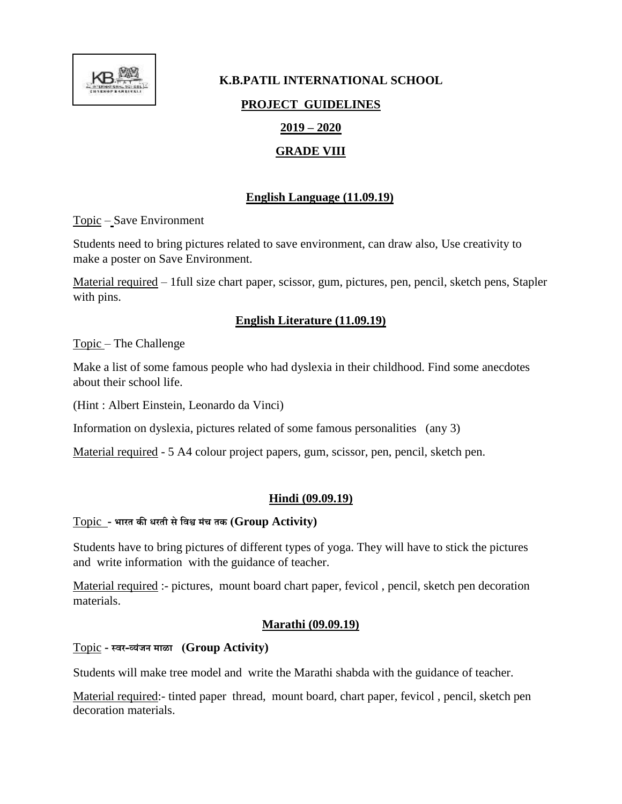

# **K.B.PATIL INTERNATIONAL SCHOOL PROJECT GUIDELINES 2019 – 2020 GRADE VIII**

# **English Language (11.09.19)**

Topic – Save Environment

Students need to bring pictures related to save environment, can draw also, Use creativity to make a poster on Save Environment.

Material required – 1full size chart paper, scissor, gum, pictures, pen, pencil, sketch pens, Stapler with pins.

# **English Literature (11.09.19)**

Topic – The Challenge

Make a list of some famous people who had dyslexia in their childhood. Find some anecdotes about their school life.

(Hint : Albert Einstein, Leonardo da Vinci)

Information on dyslexia, pictures related of some famous personalities (any 3)

Material required - 5 A4 colour project papers, gum, scissor, pen, pencil, sketch pen.

# **Hindi (09.09.19)**

#### Topic **- भारत की धरती सेविश्व मंच तक (Group Activity)**

Students have to bring pictures of different types of yoga. They will have to stick the pictures and write information with the guidance of teacher.

Material required :- pictures, mount board chart paper, fevicol , pencil, sketch pen decoration materials.

# **Marathi (09.09.19)**

# Topic **- स्िर-व्यंजन माळा (Group Activity)**

Students will make tree model and write the Marathi shabda with the guidance of teacher.

Material required:- tinted paper thread, mount board, chart paper, fevicol , pencil, sketch pen decoration materials.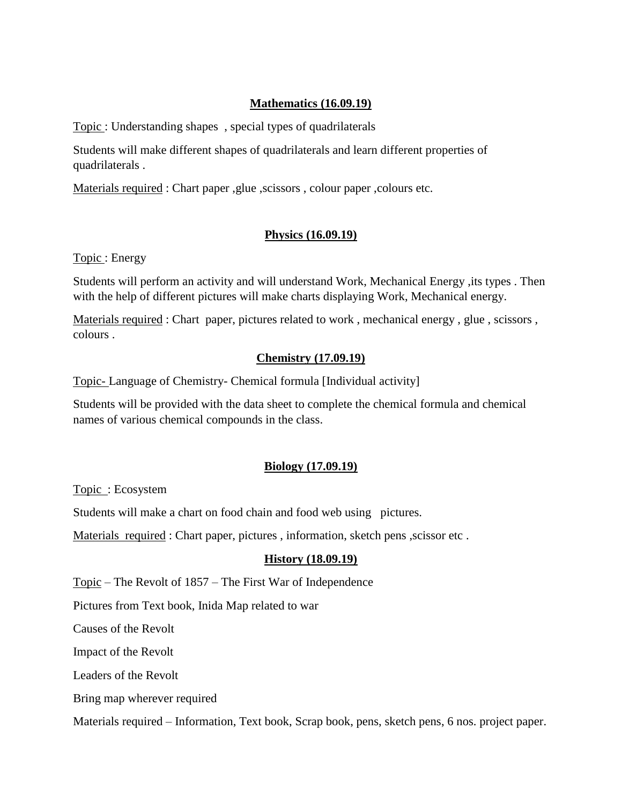### **Mathematics (16.09.19)**

Topic : Understanding shapes , special types of quadrilaterals

Students will make different shapes of quadrilaterals and learn different properties of quadrilaterals .

Materials required : Chart paper ,glue ,scissors , colour paper ,colours etc.

#### **Physics (16.09.19)**

Topic : Energy

Students will perform an activity and will understand Work, Mechanical Energy ,its types . Then with the help of different pictures will make charts displaying Work, Mechanical energy.

Materials required : Chart paper, pictures related to work , mechanical energy , glue , scissors , colours .

#### **Chemistry (17.09.19)**

Topic- Language of Chemistry- Chemical formula [Individual activity]

Students will be provided with the data sheet to complete the chemical formula and chemical names of various chemical compounds in the class.

# **Biology (17.09.19)**

Topic : Ecosystem

Students will make a chart on food chain and food web using pictures.

Materials required : Chart paper, pictures , information, sketch pens ,scissor etc .

# **History (18.09.19)**

Topic – The Revolt of 1857 – The First War of Independence

Pictures from Text book, Inida Map related to war

Causes of the Revolt

Impact of the Revolt

Leaders of the Revolt

Bring map wherever required

Materials required – Information, Text book, Scrap book, pens, sketch pens, 6 nos. project paper.